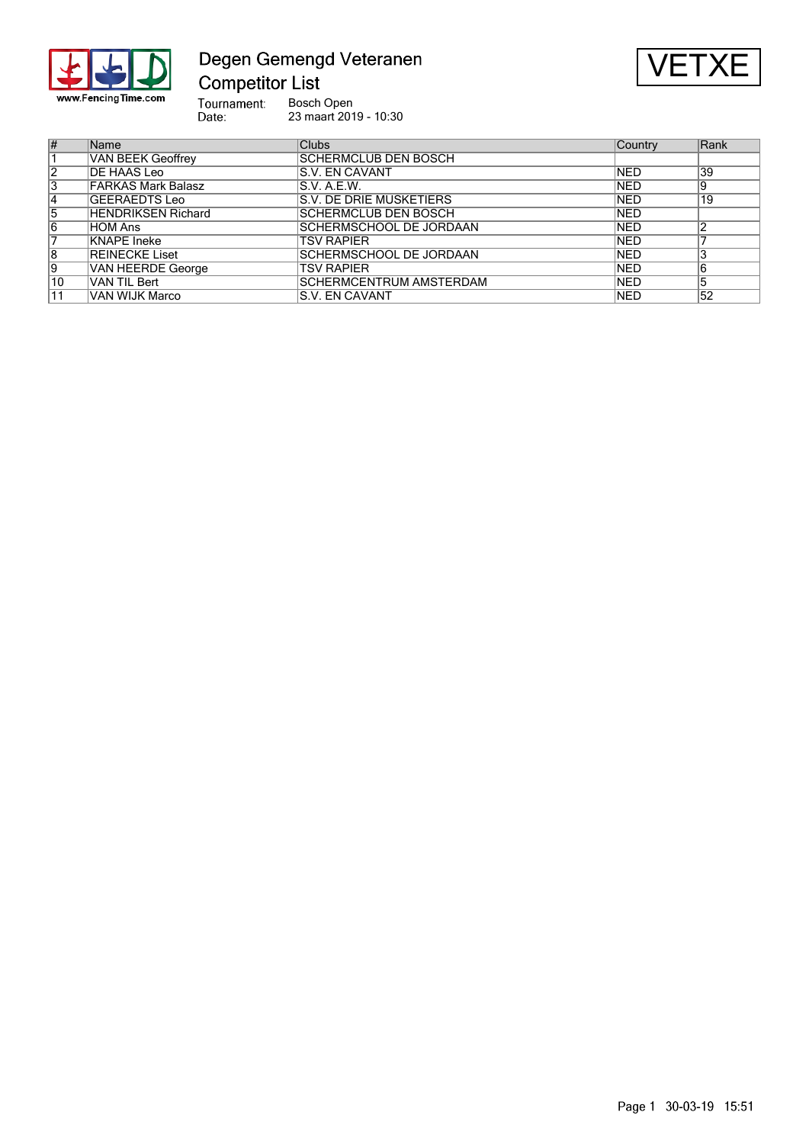

Degen Gemengd Veteranen **Competitor List** 



Tournament:<br>Date: Bosch Open 23 maart 2019 - 10:30

| #              | Name                      | <b>Clubs</b>                   | Country     | Rank |
|----------------|---------------------------|--------------------------------|-------------|------|
|                | <b>VAN BEEK Geoffrey</b>  | <b>SCHERMCLUB DEN BOSCH</b>    |             |      |
| 12             | DE HAAS Leo               | <b>IS.V. EN CAVANT</b>         | <b>NED</b>  | 39   |
| 3              | <b>FARKAS Mark Balasz</b> | IS.V. A.E.W.                   | <b>INED</b> | و!   |
| $ 4\rangle$    | GEERAEDTS Leo             | S.V. DE DRIE MUSKETIERS        | <b>NED</b>  | 19   |
| $\overline{5}$ | <b>HENDRIKSEN Richard</b> | <b>SCHERMCLUB DEN BOSCH</b>    | <b>NED</b>  |      |
| 6              | ∣HOM Ans                  | <b>SCHERMSCHOOL DE JORDAAN</b> | <b>NED</b>  |      |
|                | KNAPE Ineke               | TSV RAPIER                     | <b>NED</b>  |      |
| 8              | REINECKE Liset            | SCHERMSCHOOL DE JORDAAN        | <b>NED</b>  |      |
| 9              | <b>VAN HEERDE George</b>  | TSV RAPIER                     | <b>NED</b>  |      |
| 10             | IVAN TIL Bert             | <b>SCHERMCENTRUM AMSTERDAM</b> | <b>NED</b>  | 5    |
| 11             | VAN WIJK Marco            | IS.V. EN CAVANT                | <b>NED</b>  | 52   |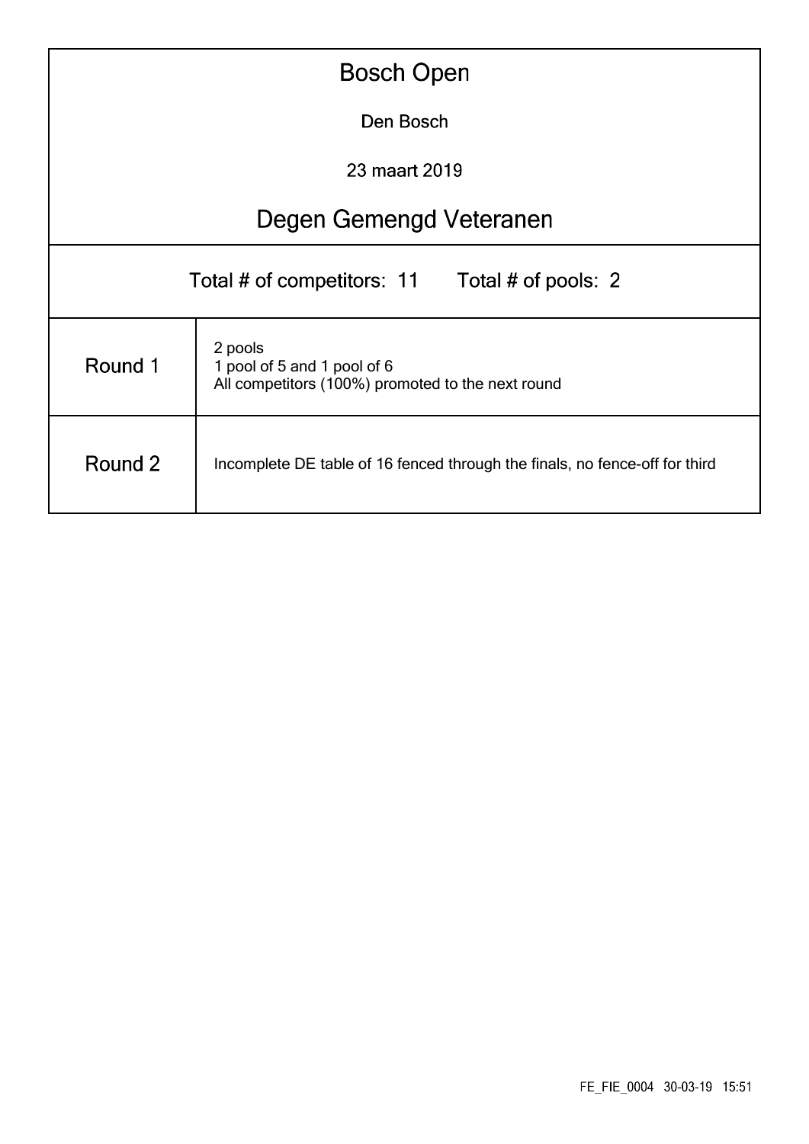| <b>Bosch Open</b>                                                                                      |                         |  |  |  |  |  |  |  |
|--------------------------------------------------------------------------------------------------------|-------------------------|--|--|--|--|--|--|--|
|                                                                                                        | Den Bosch               |  |  |  |  |  |  |  |
| 23 maart 2019                                                                                          |                         |  |  |  |  |  |  |  |
|                                                                                                        | Degen Gemengd Veteranen |  |  |  |  |  |  |  |
| Total # of competitors: 11 Total # of pools: 2                                                         |                         |  |  |  |  |  |  |  |
| 2 pools<br>Round 1<br>1 pool of 5 and 1 pool of 6<br>All competitors (100%) promoted to the next round |                         |  |  |  |  |  |  |  |
| Round 2<br>Incomplete DE table of 16 fenced through the finals, no fence-off for third                 |                         |  |  |  |  |  |  |  |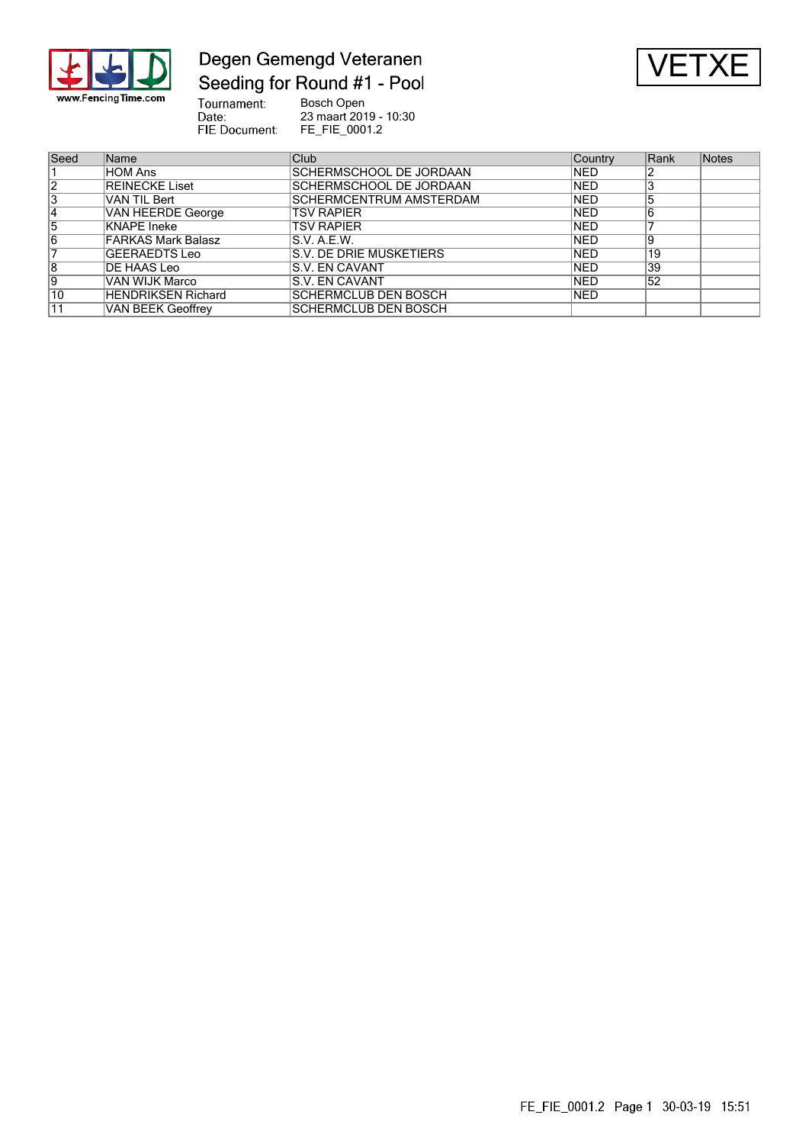

### Degen Gemengd Veteranen Seeding for Round #1 - Pool



Tournament:<br>Date:<br>FIE Document: Bosch Open 23 maart 2019 - 10:30 FE\_FIE\_0001.2

| Seed            | Name                      | Club                           | Country     | Rank | <b>Notes</b> |
|-----------------|---------------------------|--------------------------------|-------------|------|--------------|
|                 | HOM Ans                   | <b>SCHERMSCHOOL DE JORDAAN</b> | <b>INED</b> |      |              |
| $\overline{2}$  | <b>REINECKE Liset</b>     | SCHERMSCHOOL DE JORDAAN        | <b>NED</b>  |      |              |
| 3               | VAN TIL Bert              | SCHERMCENTRUM AMSTERDAM        | <b>NED</b>  |      |              |
| 14              | <b>VAN HEERDE George</b>  | <b>TSV RAPIER</b>              | <b>NED</b>  |      |              |
| 5               | KNAPE Ineke               | <b>TSV RAPIER</b>              | <b>NED</b>  |      |              |
| 6               | <b>FARKAS Mark Balasz</b> | S.V. A.E.W.                    | <b>NED</b>  | 9    |              |
|                 | GEERAEDTS Leo             | S.V. DE DRIE MUSKETIERS        | <b>NED</b>  | 19   |              |
| 8               | DE HAAS Leo               | S.V. EN CAVANT                 | <b>NED</b>  | 39   |              |
| 19              | VAN WIJK Marco            | S.V. EN CAVANT                 | <b>NED</b>  | 52   |              |
| $\overline{10}$ | <b>HENDRIKSEN Richard</b> | SCHERMCLUB DEN BOSCH           | <b>INED</b> |      |              |
| $\overline{11}$ | <b>VAN BEEK Geoffrey</b>  | SCHERMCLUB DEN BOSCH           |             |      |              |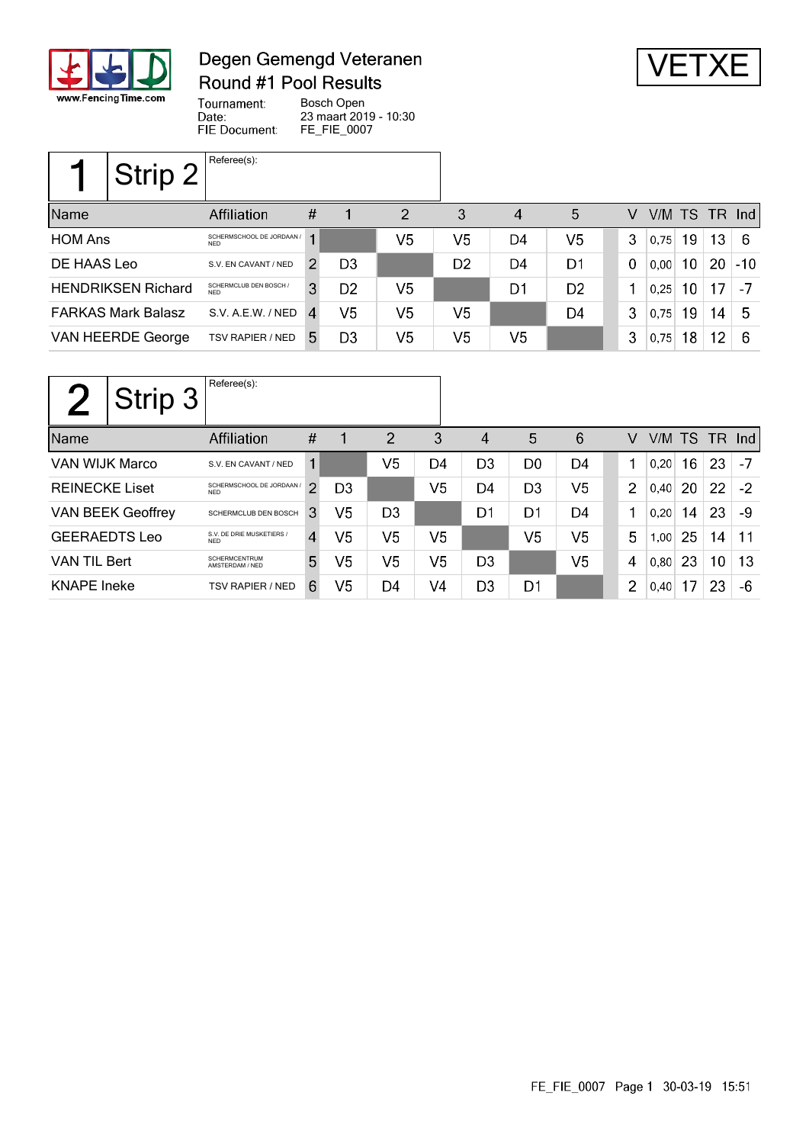

## Degen Gemengd Veteranen Round #1 Pool Results



Tournament: Bosch Open Date: 23 maart 2019 - 10:30 FIE Document: FE\_FIE\_0007

| Strip 2                   | Referee(s):                             |                             |                |                |                |                |                |          |      |    |                 |               |
|---------------------------|-----------------------------------------|-----------------------------|----------------|----------------|----------------|----------------|----------------|----------|------|----|-----------------|---------------|
| Name                      | Affiliation                             | #                           |                | 2              | 3              | $\overline{4}$ | 5              | V        |      |    |                 | V/M TS TR Ind |
| <b>HOM Ans</b>            | SCHERMSCHOOL DE JORDAAN /<br><b>NFD</b> |                             |                | V5             | V5             | D4             | V <sub>5</sub> | 3        | 0,75 | 19 | 13              | -6            |
| DE HAAS Leo               | S.V. EN CAVANT / NED                    | $\mathcal{P}_{\mathcal{C}}$ | D <sub>3</sub> |                | D <sub>2</sub> | D4             | D1             | $\Omega$ | 0.00 | 10 | 20              | $ -10\rangle$ |
| <b>HENDRIKSEN Richard</b> | SCHERMCLUB DEN BOSCH /<br>NFD.          | 3                           | D <sub>2</sub> | V <sub>5</sub> |                | D1             | D <sub>2</sub> |          | 0,25 | 10 | 17 <sup>1</sup> | $-7$          |
| <b>FARKAS Mark Balasz</b> | S.V. A.E.W. / NED                       | $\overline{4}$              | V5             | V5             | V <sub>5</sub> |                | D4             | 3        | 0,75 | 19 | 14              | 5             |
| VAN HEERDE George         | <b>TSV RAPIER / NED</b>                 | 5.                          | D <sub>3</sub> | V5             | V5             | V5             |                | 3        | 0.75 | 18 | 12              | -6            |

|                          | Strip 3 | Referee(s):                             |                |                |                |    |                |                |                |                |        |    |        |      |
|--------------------------|---------|-----------------------------------------|----------------|----------------|----------------|----|----------------|----------------|----------------|----------------|--------|----|--------|------|
| Name                     |         | <b>Affiliation</b>                      | #              | 1              | $\overline{2}$ | 3  | 4              | 5              | 6              | V              | V/M TS |    | TR Ind |      |
| VAN WIJK Marco           |         | S.V. EN CAVANT / NED                    |                |                | V5             | D4 | D <sub>3</sub> | D <sub>0</sub> | D4             |                | 0.20   | 16 | 23     | -7   |
| <b>REINECKE Liset</b>    |         | SCHERMSCHOOL DE JORDAAN /<br><b>NFD</b> | 2              | D <sub>3</sub> |                | V5 | D4             | D <sub>3</sub> | V <sub>5</sub> | $\overline{2}$ | 0,40   | 20 | 22     | $-2$ |
| <b>VAN BEEK Geoffrey</b> |         | SCHERMCLUB DEN BOSCH                    | 3              | V5             | D <sub>3</sub> |    | D1             | D1             | D4             | 1              | 0.20   | 14 | 23     | -9   |
| <b>GEERAEDTS Leo</b>     |         | S.V. DE DRIE MUSKETIERS /<br><b>NFD</b> | $\overline{4}$ | V5             | V5             | V5 |                | V5             | V5             | 5              | 1,00   | 25 | 14     | 11   |
| <b>VAN TIL Bert</b>      |         | <b>SCHERMCENTRUM</b><br>AMSTERDAM / NED | 5              | V5             | V5             | V5 | D <sub>3</sub> |                | V <sub>5</sub> | 4              | 0,80   | 23 | 10     | 13   |
| <b>KNAPE</b> Ineke       |         | <b>TSV RAPIER / NED</b>                 | 6              | V5             | D4             | V4 | D <sub>3</sub> | D1             |                | $\overline{2}$ | 0,40   | 17 | 23     | -6   |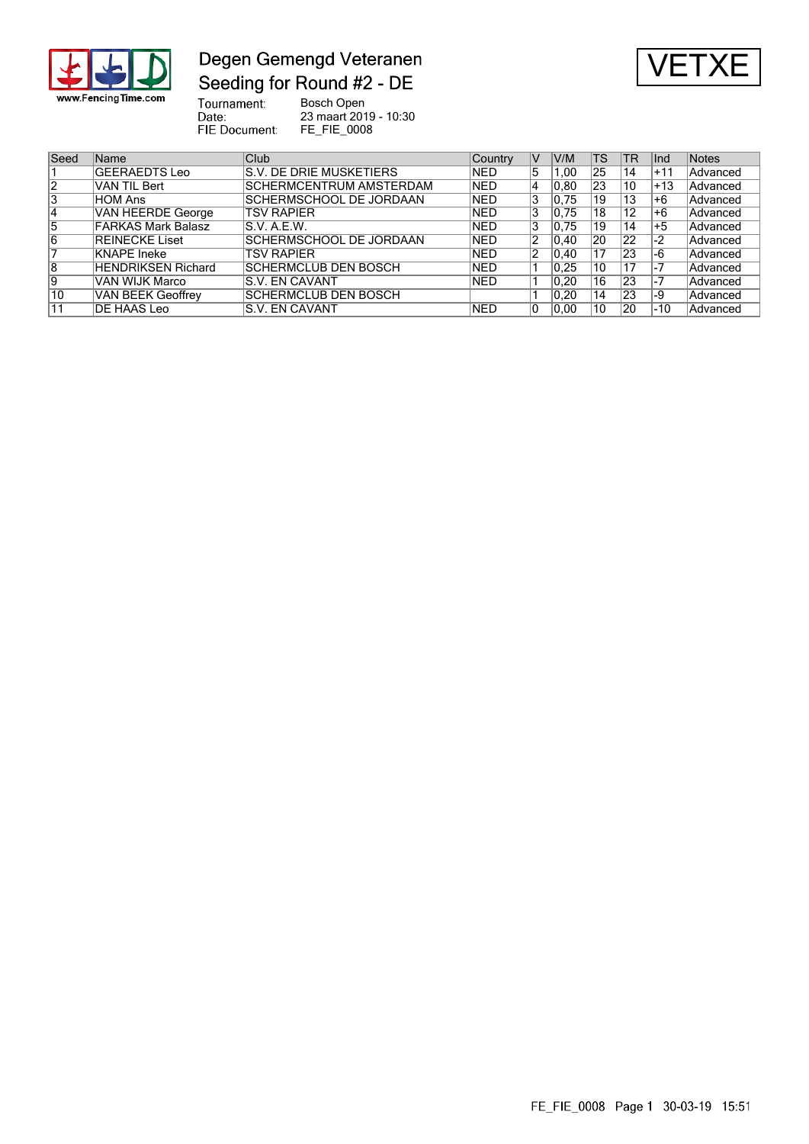

### Degen Gemengd Veteranen Seeding for Round #2 - DE



Tournament:<br>Date:<br>FIE Document: Bosch Open 23 maart 2019 - 10:30

FE\_FIE\_0008

| Seed            | <b>Name</b>               | Club                           | Country    | IV | V/M  | <b>TS</b> | TR | llnd  | <b>Notes</b> |
|-----------------|---------------------------|--------------------------------|------------|----|------|-----------|----|-------|--------------|
|                 | GEERAEDTS Leo             | S.V. DE DRIE MUSKETIERS        | INED.      | 5  | 1.00 | 25        | 14 | $+11$ | Advanced     |
| $\overline{2}$  | VAN TIL Bert              | <b>SCHERMCENTRUM AMSTERDAM</b> | <b>NED</b> | 4  | 0.80 | 23        | 10 | $+13$ | Advanced     |
| 3               | ∣HOM Ans                  | SCHERMSCHOOL DE JORDAAN        | <b>NED</b> | 3  | 0.75 | 19        | 13 | +6    | Advanced     |
| 14              | <b>VAN HEERDE George</b>  | <b>TSV RAPIER</b>              | NED.       | 3  | 0,75 | 18        | 12 | +6    | Advanced     |
| 15              | <b>FARKAS Mark Balasz</b> | S.V. A.E.W.                    | NED.       | 3  | 0.75 | 19        | 14 | $+5$  | Advanced     |
| 16              | <b>REINECKE Liset</b>     | SCHERMSCHOOL DE JORDAAN        | <b>NED</b> | 2  | 0.40 | 20        | 22 | $-2$  | Advanced     |
|                 | KNAPE Ineke               | <b>TSV RAPIER</b>              | NED.       | 2  | 0.40 | 17        | 23 | -6    | Advanced     |
| 8               | <b>HENDRIKSEN Richard</b> | <b>SCHERMCLUB DEN BOSCH</b>    | <b>NED</b> |    | 0.25 | 10        | 17 | -7    | Advanced     |
| Ι9              | VAN WIJK Marco            | IS.V. EN CAVANT                | <b>NED</b> |    | 0.20 | 16        | 23 | -7    | Advanced     |
| $\overline{10}$ | VAN BEEK Geoffrey         | <b>SCHERMCLUB DEN BOSCH</b>    |            |    | 0.20 | 14        | 23 | -9    | Advanced     |
| 11              | DE HAAS Leo               | <b>S.V. EN CAVANT</b>          | INED       | l0 | 0.00 | 10        | 20 | -10   | Advanced     |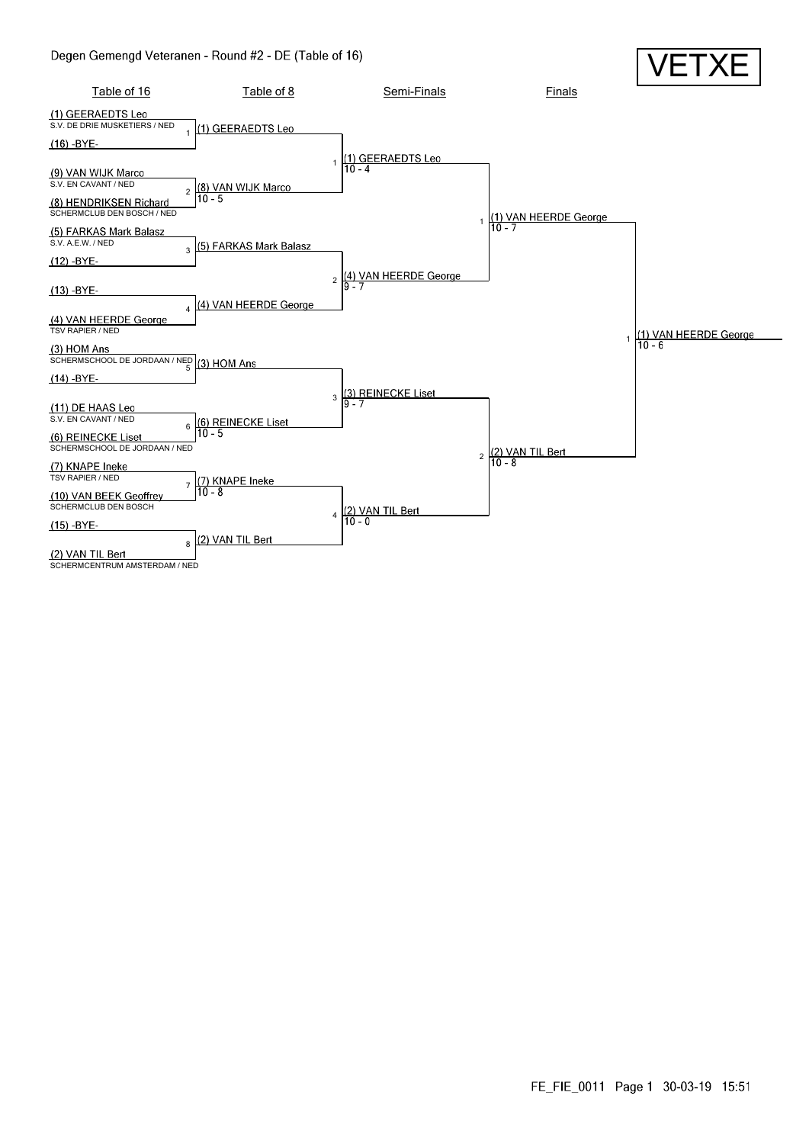#### Degen Gemengd Veteranen - Round #2 - DE (Table of 16)

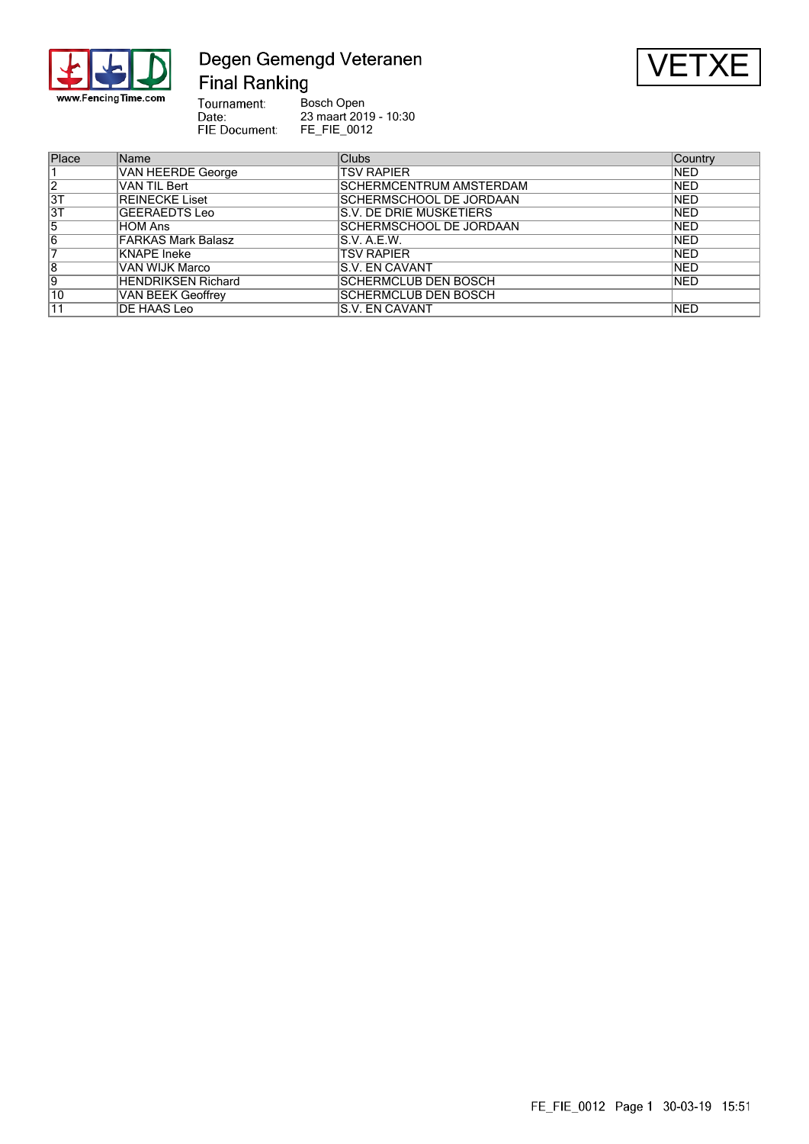

### Degen Gemengd Veteranen **Final Ranking**



Tournament: Bosch Open Date:<br>Date:<br>FIE Document: 23 maart 2019 - 10:30 FE\_FIE\_0012

| Place           | Name                      | <b>Clubs</b>                   | Country     |
|-----------------|---------------------------|--------------------------------|-------------|
|                 | <b>VAN HEERDE George</b>  | <b>TSV RAPIER</b>              | <b>INED</b> |
| $\overline{2}$  | VAN TIL Bert              | <b>SCHERMCENTRUM AMSTERDAM</b> | <b>NED</b>  |
| $\overline{3T}$ | <b>REINECKE Liset</b>     | <b>SCHERMSCHOOL DE JORDAAN</b> | <b>NED</b>  |
| $\overline{3T}$ | GEERAEDTS Leo             | S.V. DE DRIE MUSKETIERS        | <b>NED</b>  |
| 5               | HOM Ans                   | <b>SCHERMSCHOOL DE JORDAAN</b> | <b>NED</b>  |
| 6               | <b>FARKAS Mark Balasz</b> | S.V. A.E.W.                    | <b>NED</b>  |
|                 | KNAPE Ineke               | <b>TSV RAPIER</b>              | <b>NED</b>  |
| 8               | VAN WIJK Marco            | S.V. EN CAVANT                 | <b>NED</b>  |
| 9               | <b>HENDRIKSEN Richard</b> | <b>SCHERMCLUB DEN BOSCH</b>    | <b>NED</b>  |
| 10              | VAN BEEK Geoffrey         | <b>SCHERMCLUB DEN BOSCH</b>    |             |
| 11              | DE HAAS Leo               | S.V. EN CAVANT                 | <b>NED</b>  |